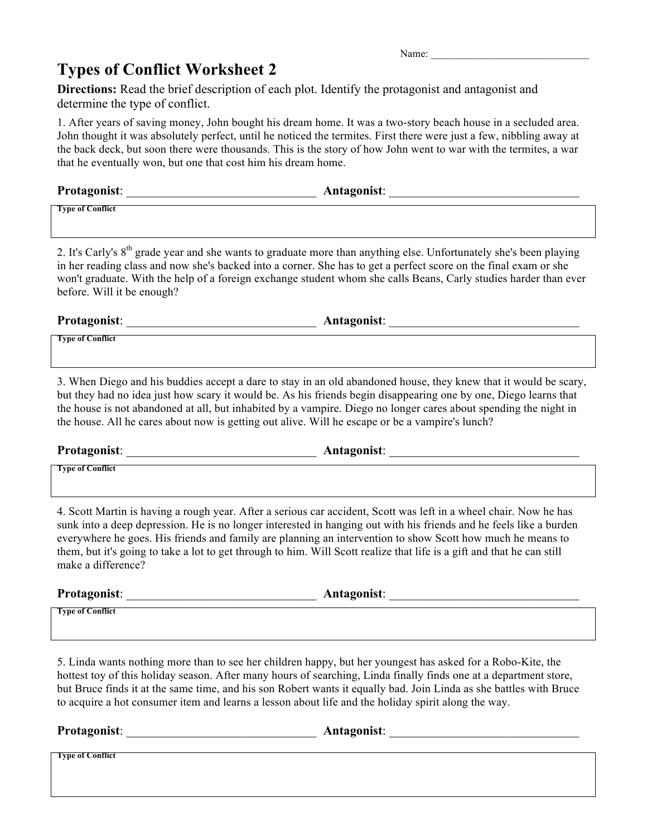## **Types of Conflict Worksheet 2**

Name:

**Directions:** Read the brief description of each plot. Identify the protagonist and antagonist and determine the type of conflict.

1. After years of saving money, John bought his dream home. It was a two-story beach house in a secluded area. John thought it was absolutely perfect, until he noticed the termites. First there were just a few, nibbling away at the back deck, but soon there were thousands. This is the story of how John went to war with the termites, a war that he eventually won, but one that cost him his dream home.

| <b>Protagonist:</b>     | Antagonist: |
|-------------------------|-------------|
| <b>Type of Conflict</b> |             |

2. It's Carly's 8<sup>th</sup> grade year and she wants to graduate more than anything else. Unfortunately she's been playing in her reading class and now she's backed into a corner. She has to get a perfect score on the final exam or she won't graduate. With the help of a foreign exchange student whom she calls Beans, Carly studies harder than ever before. Will it be enough?

**Protagonist**: \_\_\_\_\_\_\_\_\_\_\_\_\_\_\_\_\_\_\_\_\_\_\_\_\_\_\_\_\_\_ **Antagonist**: \_\_\_\_\_\_\_\_\_\_\_\_\_\_\_\_\_\_\_\_\_\_\_\_\_\_\_\_\_\_

**Type of Conflict**

3. When Diego and his buddies accept a dare to stay in an old abandoned house, they knew that it would be scary, but they had no idea just how scary it would be. As his friends begin disappearing one by one, Diego learns that the house is not abandoned at all, but inhabited by a vampire. Diego no longer cares about spending the night in the house. All he cares about now is getting out alive. Will he escape or be a vampire's lunch?

**Protagonist**: \_\_\_\_\_\_\_\_\_\_\_\_\_\_\_\_\_\_\_\_\_\_\_\_\_\_\_\_\_\_ **Antagonist**: \_\_\_\_\_\_\_\_\_\_\_\_\_\_\_\_\_\_\_\_\_\_\_\_\_\_\_\_\_\_

**Type of Conflict**

4. Scott Martin is having a rough year. After a serious car accident, Scott was left in a wheel chair. Now he has sunk into a deep depression. He is no longer interested in hanging out with his friends and he feels like a burden everywhere he goes. His friends and family are planning an intervention to show Scott how much he means to them, but it's going to take a lot to get through to him. Will Scott realize that life is a gift and that he can still make a difference?

**Protagonist**: \_\_\_\_\_\_\_\_\_\_\_\_\_\_\_\_\_\_\_\_\_\_\_\_\_\_\_\_\_\_ **Antagonist**: \_\_\_\_\_\_\_\_\_\_\_\_\_\_\_\_\_\_\_\_\_\_\_\_\_\_\_\_\_\_

**Type of Conflict**

5. Linda wants nothing more than to see her children happy, but her youngest has asked for a Robo-Kite, the hottest toy of this holiday season. After many hours of searching, Linda finally finds one at a department store, but Bruce finds it at the same time, and his son Robert wants it equally bad. Join Linda as she battles with Bruce to acquire a hot consumer item and learns a lesson about life and the holiday spirit along the way.

**Protagonist**: \_\_\_\_\_\_\_\_\_\_\_\_\_\_\_\_\_\_\_\_\_\_\_\_\_\_\_\_\_\_ **Antagonist**: \_\_\_\_\_\_\_\_\_\_\_\_\_\_\_\_\_\_\_\_\_\_\_\_\_\_\_\_\_\_

**Type of Conflict**